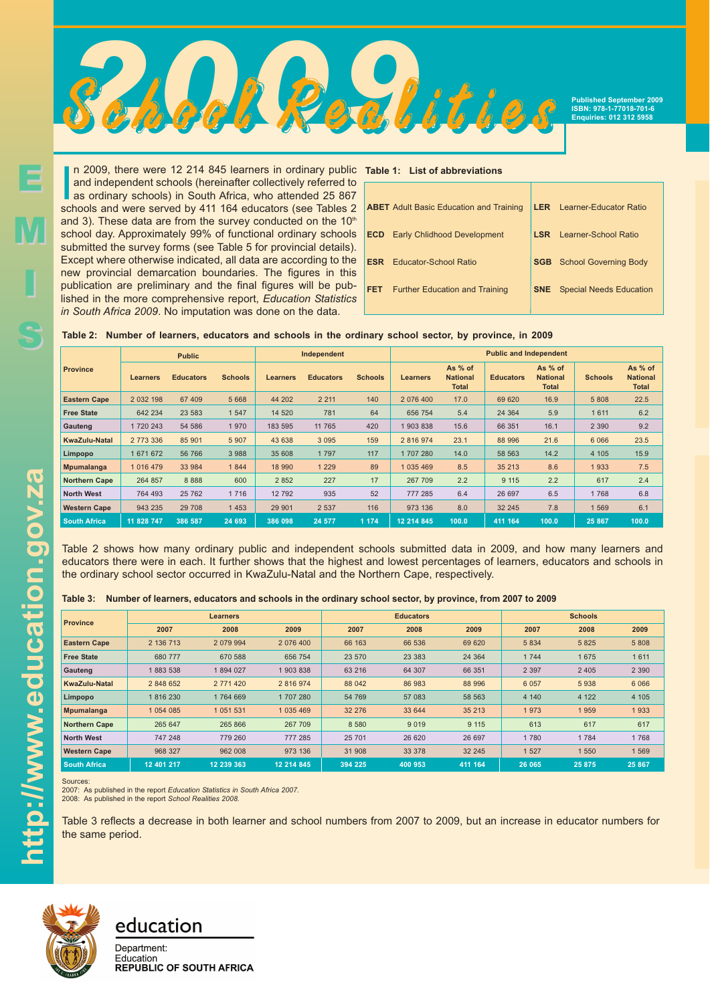

**Published September 2009 ISBN: 978-1-77018-701-6 Enquiries: 012 312 5958**

In 2009, there were 12 214 845 learners in ordinary public and independent schools (hereinafter collectively referred to as ordinary schools) in South Africa, who attended 25 867 schools and were served by 411 164 educator n 2009, there were 12 214 845 learners in ordinary public **Table 1: List of abbreviations** and independent schools (hereinafter collectively referred to as ordinary schools) in South Africa, who attended 25 867 and 3). These data are from the survey conducted on the  $10<sup>th</sup>$ school day. Approximately 99% of functional ordinary schools submitted the survey forms (see Table 5 for provincial details). Except where otherwise indicated, all data are according to the new provincial demarcation boundaries. The figures in this publication are preliminary and the final figures will be published in the more comprehensive report, *Education Statistics in South Africa 2009*. No imputation was done on the data.

|            | <b>ABET</b> Adult Basic Education and Training |            | <b>LER</b> Learner-Educator Ratio |
|------------|------------------------------------------------|------------|-----------------------------------|
|            | <b>ECD</b> Early Chlidhood Development         | <b>LSR</b> | Learner-School Ratio              |
| <b>ESR</b> | <b>Educator-School Ratio</b>                   |            | <b>SGB</b> School Governing Body  |
| <b>FET</b> | <b>Further Education and Training</b>          | <b>SNE</b> | <b>Special Needs Education</b>    |
|            |                                                |            |                                   |

| Table 2: Number of learners, educators and schools in the ordinary school sector, by province, in 2009 |  |
|--------------------------------------------------------------------------------------------------------|--|
|--------------------------------------------------------------------------------------------------------|--|

|                      |               | <b>Public</b>    |                |                 | Independent      |                | <b>Public and Independent</b> |                                            |                  |                                            |                |                                            |  |
|----------------------|---------------|------------------|----------------|-----------------|------------------|----------------|-------------------------------|--------------------------------------------|------------------|--------------------------------------------|----------------|--------------------------------------------|--|
| <b>Province</b>      | Learners      | <b>Educators</b> | <b>Schools</b> | <b>Learners</b> | <b>Educators</b> | <b>Schools</b> | <b>Learners</b>               | As % of<br><b>National</b><br><b>Total</b> | <b>Educators</b> | As % of<br><b>National</b><br><b>Total</b> | <b>Schools</b> | As % of<br><b>National</b><br><b>Total</b> |  |
| <b>Eastern Cape</b>  | 2 0 3 2 1 9 8 | 67 409           | 5 6 6 8        | 44 202          | 2 2 1 1          | 140            | 2 076 400                     | 17.0                                       | 69 620           | 16.9                                       | 5 808          | 22.5                                       |  |
| <b>Free State</b>    | 642 234       | 23 583           | 1 5 4 7        | 14 520          | 781              | 64             | 656 754                       | 5.4                                        | 24 3 64          | 5.9                                        | 1611           | 6.2                                        |  |
| Gauteng              | 1720 243      | 54 586           | 1970           | 183 595         | 11 765           | 420            | 1903838                       | 15.6                                       | 66 351           | 16.1                                       | 2 3 9 0        | 9.2                                        |  |
| <b>KwaZulu-Natal</b> | 2 773 336     | 85 901           | 5 9 0 7        | 43 638          | 3 0 9 5          | 159            | 2 816 974                     | 23.1                                       | 88 996           | 21.6                                       | 6 0 6 6        | 23.5                                       |  |
| Limpopo              | 1 671 672     | 56 766           | 3 9 8 8        | 35 608          | 1797             | 117            | 1707280                       | 14.0                                       | 58 563           | 14.2                                       | 4 10 5         | 15.9                                       |  |
| <b>Mpumalanga</b>    | 1 0 1 6 4 7 9 | 33 984           | 1844           | 18 990          | 1 2 2 9          | 89             | 1 035 469                     | 8.5                                        | 35 213           | 8.6                                        | 1933           | 7.5                                        |  |
| <b>Northern Cape</b> | 264 857       | 8888             | 600            | 2 8 5 2         | 227              | 17             | 267 709                       | 2.2                                        | 9 1 1 5          | 2.2                                        | 617            | 2.4                                        |  |
| <b>North West</b>    | 764 493       | 25 762           | 1 7 1 6        | 12 792          | 935              | 52             | 777 285                       | 6.4                                        | 26 697           | 6.5                                        | 1768           | 6.8                                        |  |
| <b>Western Cape</b>  | 943 235       | 29 708           | 1453           | 29 901          | 2 5 3 7          | 116            | 973 136                       | 8.0                                        | 32 245           | 7.8                                        | 1 569          | 6.1                                        |  |
| <b>South Africa</b>  | 11 828 747    | 386 587          | 24 693         | 386 098         | 24 577           | 1 1 7 4        | 12 214 845                    | 100.0                                      | 411 164          | 100.0                                      | 25 867         | 100.0                                      |  |

Table 2 shows how many ordinary public and independent schools submitted data in 2009, and how many learners and educators there were in each. It further shows that the highest and lowest percentages of learners, educators and schools in the ordinary school sector occurred in KwaZulu-Natal and the Northern Cape, respectively.

|  |  |  |  |  | Table 3: Number of learners, educators and schools in the ordinary school sector, by province, from 2007 to 2009 |  |  |  |
|--|--|--|--|--|------------------------------------------------------------------------------------------------------------------|--|--|--|
|--|--|--|--|--|------------------------------------------------------------------------------------------------------------------|--|--|--|

| <b>Province</b>      |             | <b>Learners</b> |               |         | <b>Educators</b> |         | <b>Schools</b> |         |         |  |
|----------------------|-------------|-----------------|---------------|---------|------------------|---------|----------------|---------|---------|--|
|                      | 2007        | 2008            | 2009          | 2007    | 2008             | 2009    | 2007           | 2008    | 2009    |  |
| <b>Eastern Cape</b>  | 2 136 713   | 2 0 79 9 94     | 2 076 400     | 66 163  | 66 536           | 69 620  | 5 8 3 4        | 5 8 2 5 | 5 8 0 8 |  |
| <b>Free State</b>    | 680 777     | 670 588         | 656 754       | 23 570  | 23 3 8 3         | 24 3 64 | 1 744          | 1675    | 1 6 1 1 |  |
| Gauteng              | 1883538     | 1894027         | 1 903 838     | 63 216  | 64 307           | 66 351  | 2 3 9 7        | 2 4 0 5 | 2 3 9 0 |  |
| <b>KwaZulu-Natal</b> | 2 848 652   | 2 771 420       | 2 816 974     | 88 042  | 86 983           | 88 996  | 6 0 5 7        | 5938    | 6 0 6 6 |  |
| Limpopo              | 1816230     | 1764 669        | 1707280       | 54 769  | 57 083           | 58 563  | 4 140          | 4 1 2 2 | 4 1 0 5 |  |
| <b>Mpumalanga</b>    | 1 0 54 0 85 | 1 0 5 1 5 3 1   | 1 0 3 5 4 6 9 | 32 276  | 33 644           | 35 213  | 1973           | 1959    | 1933    |  |
| <b>Northern Cape</b> | 265 647     | 265 866         | 267 709       | 8 5 8 0 | 9 0 1 9          | 9 1 1 5 | 613            | 617     | 617     |  |
| <b>North West</b>    | 747 248     | 779 260         | 777 285       | 25 701  | 26 6 20          | 26 697  | 1780           | 1 7 8 4 | 1768    |  |
| <b>Western Cape</b>  | 968 327     | 962 008         | 973 136       | 31 908  | 33 378           | 32 245  | 1 527          | 1 550   | 1569    |  |
| South Africa         | 12 401 217  | 12 239 363      | 12 214 845    | 394 225 | 400 953          | 411 164 | 26 065         | 25 875  | 25 867  |  |

Sources:

2007: As published in the report *Education Statistics in South Africa 2007.* 2008: As published in the report *School Realities 2008.*

Table 3 reflects a decrease in both learner and school numbers from 2007 to 2009, but an increase in educator numbers for the same period.



## education

Department: Education **REPUBLIC OF SOUTH AFRICA** 

E

M

I

S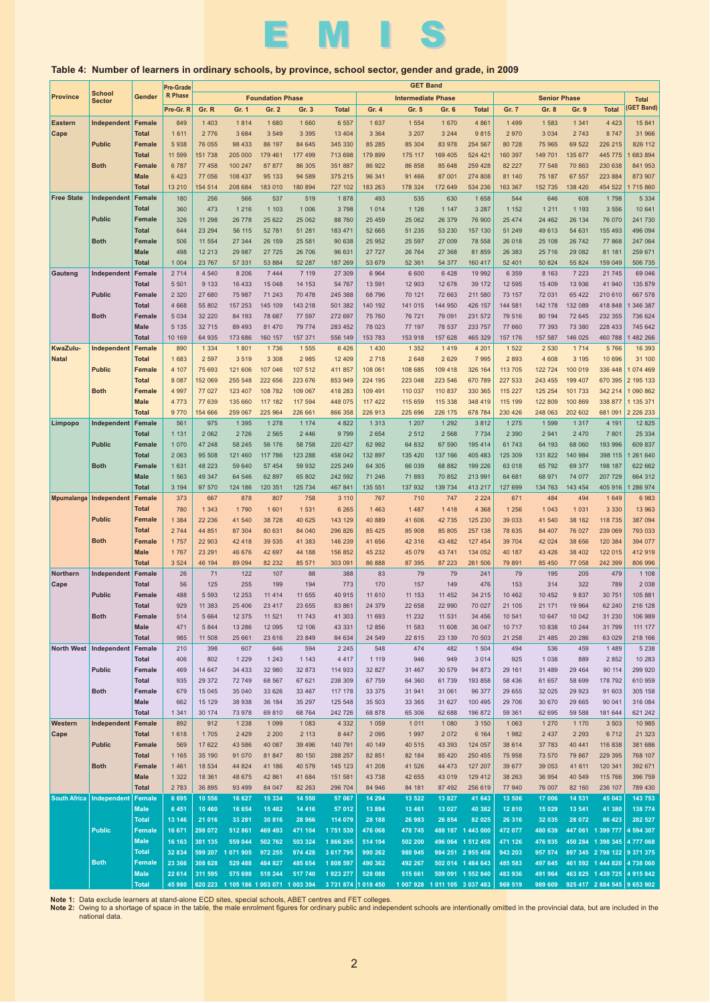

### **Table 4: Number of learners in ordinary schools, by province, school sector, gender and grade, in 2009**

|                     |                                |                               | Pre-Grade      | <b>GET Band</b>  |                                       |                         |                    |                     |                    |                           |                               |                    |                    |                     |                    |                             |                          |
|---------------------|--------------------------------|-------------------------------|----------------|------------------|---------------------------------------|-------------------------|--------------------|---------------------|--------------------|---------------------------|-------------------------------|--------------------|--------------------|---------------------|--------------------|-----------------------------|--------------------------|
| <b>Province</b>     | <b>School</b><br><b>Sector</b> | Gender                        | <b>R</b> Phase |                  |                                       | <b>Foundation Phase</b> |                    |                     |                    | <b>Intermediate Phase</b> |                               |                    |                    | <b>Senior Phase</b> |                    |                             | <b>Total</b>             |
|                     |                                |                               | Pre-Gr. R      | Gr. R            | Gr. 1                                 | Gr. 2                   | Gr. 3              | <b>Total</b>        | Gr. 4              | Gr. 5                     | Gr. 6                         | <b>Total</b>       | Gr. 7              | Gr. 8               | Gr. 9              | <b>Total</b>                | <b>GET Band)</b>         |
| <b>Eastern</b>      | Independent                    | <b>Female</b>                 | 849            | 1 4 0 3          | 1814                                  | 1680                    | 1 6 6 0            | 6 5 5 7             | 1 6 3 7            | 1 5 5 4                   | 1670                          | 4 8 6 1            | 1 4 9 9            | 1583                | 1 3 4 1            | 4 4 2 3                     | 15 841                   |
| Cape                |                                | <b>Total</b>                  | 1611           | 2 7 7 6          | 3 6 8 4                               | 3 5 4 9                 | 3 3 9 5            | 13 4 04             | 3 3 6 4            | 3 2 0 7                   | 3 2 4 4                       | 9815               | 2970               | 3 0 3 4             | 2 7 4 3            | 8747                        | 31 966                   |
|                     | <b>Public</b>                  | <b>Female</b>                 | 5938           | 76 055           | 98 433                                | 86 197                  | 84 645             | 345 330             | 85 285             | 85 304                    | 83 978                        | 254 567            | 80 728             | 75 965              | 69 522             | 226 215                     | 826 112                  |
|                     |                                | <b>Total</b>                  | 11 599         | 151 738          | 205 000                               | 179 461                 | 177 499            | 713 698             | 179 899            | 175 117                   | 169 405                       | 524 421            | 160 397            | 149 701             | 135 677            | 445 775                     | 683 894                  |
|                     | <b>Both</b>                    | <b>Female</b>                 | 6787           | 77 458           | 100 247                               | 87 877                  | 86 30 5            | 351 887             | 86 922             | 86 858                    | 85 648                        | 259 428            | 82 227             | 77 548              | 70 863             | 230 638                     | 841 953                  |
|                     |                                | <b>Male</b>                   | 6 4 2 3        | 77 056           | 108 437                               | 95 133                  | 94 589             | 375 215             | 96 341             | 91 466                    | 87 001                        | 274 808            | 81 140             | 75 187              | 67 557             | 223 884                     | 873 907                  |
|                     |                                | <b>Total</b>                  | 13 2 10        | 154 514          | 208 684                               | 183 010                 | 180 894            | 727 102             | 183 263            | 178 324                   | 172 649                       | 534 236            | 163 367            | 152 735             | 138 420            | 454 522                     | 1715860                  |
| <b>Free State</b>   | Independent                    | Female                        | 180            | 256              | 566                                   | 537                     | 519                | 1878                | 493                | 535                       | 630                           | 1658               | 544                | 646                 | 608                | 1798                        | 5 3 3 4                  |
|                     |                                | <b>Total</b>                  | 360            | 473              | 1 2 1 6                               | 1 1 0 3                 | 1 0 0 6            | 3798                | 1 0 1 4            | 1 1 2 6                   | 1 1 4 7                       | 3 2 8 7            | 1 1 5 2            | 1 2 1 1             | 1 1 9 3            | 3 5 5 6                     | 10 641                   |
|                     | <b>Public</b>                  | <b>Female</b>                 | 326            | 11 298           | 26 778                                | 25 6 22                 | 25 062             | 88 760              | 25 45 9            | 25 062                    | 26 379                        | 76 900             | 25 474             | 24 4 6 2            | 26 134             | 76 070                      | 241 730                  |
|                     |                                | <b>Total</b><br><b>Female</b> | 644            | 23 294           | 56 115                                | 52 781                  | 51 281             | 183 471             | 52 665             | 51 235                    | 53 230                        | 157 130            | 51 249             | 49 613              | 54 631             | 155 493                     | 496 094                  |
|                     | <b>Both</b>                    | <b>Male</b>                   | 506<br>498     | 11 554<br>12 213 | 27 344<br>29 987                      | 26 159<br>27 7 25       | 25 581<br>26 706   | 90 638<br>96 631    | 25 952<br>27 727   | 25 597<br>26 764          | 27 009<br>27 368              | 78 558<br>81859    | 26 018<br>26 383   | 25 108<br>25 7 16   | 26 742<br>29 082   | 77 868<br>81 181            | 247 064<br>259 671       |
|                     |                                | <b>Total</b>                  | 1 0 0 4        | 23 767           | 57 331                                | 53 884                  | 52 287             | 187 269             | 53 679             | 52 361                    | 54 377                        | 160 417            | 52 401             | 50 824              | 55 824             | 159 049                     | 506 735                  |
| Gauteng             | Independent                    | Female                        | 2714           | 4 5 4 0          | 8 2 0 6                               | 7 4 4 4                 | 7 1 1 9            | 27 309              | 6 9 6 4            | 6 600                     | 6428                          | 19 992             | 6 3 5 9            | 8 1 6 3             | 7 2 2 3            | 21 745                      | 69 046                   |
|                     |                                | <b>Total</b>                  | 5 5 0 1        | 9 1 3 3          | 16 433                                | 15 048                  | 14 153             | 54 767              | 13 591             | 12 903                    | 12 678                        | 39 172             | 12 5 95            | 15 409              | 13 936             | 41 940                      | 135 879                  |
|                     | <b>Public</b>                  | <b>Female</b>                 | 2 3 2 0        | 27 680           | 75 987                                | 71 243                  | 70 478             | 245 388             | 68 796             | 70 121                    | 72 663                        | 211 580            | 73 157             | 72 031              | 65 422             | 210 610                     | 667 578                  |
|                     |                                | <b>Total</b>                  | 4 6 6 8        | 55 802           | 157 253                               | 145 109                 | 143 218            | 501 382             | 140 192            | 141 015                   | 144 950                       | 426 157            | 144 581            | 142 178             | 132 089            | 418 848                     | 346 387                  |
|                     | <b>Both</b>                    | <b>Female</b>                 | 5 0 3 4        | 32 220           | 84 193                                | 78 687                  | 77 597             | 272 697             | 75 760             | 76 721                    | 79 091                        | 231 572            | 79 516             | 80 194              | 72 645             | 232 355                     | 736 624                  |
|                     |                                | <b>Male</b>                   | 5 1 3 5        | 32 715           | 89 4 93                               | 81 470                  | 79 774             | 283 452             | 78 023             | 77 197                    | 78 537                        | 233 757            | 77 660             | 77 393              | 73 380             | 228 433                     | 745 642                  |
|                     |                                | <b>Total</b>                  | 10 169         | 64 935           | 173 686                               | 160 157                 | 157 371            | 556 149             | 153 783            | 153 918                   | 157 628                       | 465 329            | 157 176            | 157 587             | 146 025            | 460 788                     | 482 266                  |
| KwaZulu-            | Independent                    | Female                        | 890            | 1 3 3 4          | 1801                                  | 1736                    | 1 5 5 5            | 6 4 2 6             | 1 4 3 0            | 1 3 5 2                   | 1419                          | 4 2 0 1            | 1 5 2 2            | 2 5 3 0             | 1 7 1 4            | 5766                        | 16 393                   |
| <b>Natal</b>        |                                | <b>Total</b>                  | 1683           | 2 5 9 7          | 3 5 1 9                               | 3 3 0 8                 | 2 9 8 5            | 12 4 09             | 2 7 1 8            | 2 6 4 8                   | 2629                          | 7995               | 2 8 9 3            | 4 6 0 8             | 3 1 9 5            | 10 696                      | 31 100                   |
|                     | <b>Public</b>                  | <b>Female</b>                 | 4 107          | 75 693           | 121 606                               | 107 046                 | 107 512            | 411 857             | 108 061            | 108 685                   | 109 418                       | 326 164            | 113 705            | 122 724             | 100 019            | 336 448                     | 074 469                  |
|                     |                                | <b>Total</b>                  | 8 0 8 7        | 152 069          | 255 548                               | 222 656                 | 223 676            | 853 949             | 224 195            | 223 048                   | 223 546                       | 670 789            | 227 533            | 243 455             | 199 407            | 670 395                     | 2 195 133                |
|                     | <b>Both</b>                    | <b>Female</b>                 | 4 9 9 7        | 77 027           | 123 407                               | 108 782                 | 109 067            | 418 283             | 109 491            | 110 037                   | 110 837                       | 330 365            | 115 227            | 125 254             | 101 733            | 342 214                     | 1 090 862                |
|                     |                                | <b>Male</b>                   | 4 7 7 3        | 77 639           | 135 660                               | 117 182                 | 117 594            | 448 075             | 117 422            | 115 659                   | 115 338                       | 348 419            | 115 199            | 122 809             | 100 869            | 338 877                     | 1 135 371                |
|                     | Independent                    | <b>Total</b><br>Female        | 9770<br>561    | 154 666<br>975   | 259 067<br>1 3 9 5                    | 225 964<br>1 2 7 8      | 226 661<br>1 1 7 4 | 866 358<br>4 8 2 2  | 226 913<br>1 3 1 3 | 225 696<br>1 207          | 226 175<br>1 2 9 2            | 678 784<br>3812    | 230 426<br>1 2 7 5 | 248 063<br>1599     | 202 602<br>1 3 1 7 | 681 091<br>4 1 9 1          | 2 2 2 6 2 3 3<br>12 8 25 |
| Limpopo             |                                | <b>Total</b>                  | 1 1 3 1        | 2 0 6 2          | 2 7 2 6                               | 2 5 6 5                 | 2 4 4 6            | 9799                | 2 6 5 4            | 2 5 1 2                   | 2 5 6 8                       | 7 7 3 4            | 2 3 9 0            | 2941                | 2 4 7 0            | 7 8 0 1                     | 25 334                   |
|                     | <b>Public</b>                  | <b>Female</b>                 | 1070           | 47 248           | 58 245                                | 56 176                  | 58 758             | 220 427             | 62 992             | 64 832                    | 67 590                        | 195 414            | 61 743             | 64 193              | 68 060             | 193 996                     | 609 837                  |
|                     |                                | <b>Total</b>                  | 2 0 6 3        | 95 508           | 121 460                               | 117 786                 | 123 288            | 458 042             | 132 897            | 135 420                   | 137 166                       | 405 483            | 125 309            | 131 822             | 140 984            | 398 115                     | 261 640                  |
|                     | <b>Both</b>                    | <b>Female</b>                 | 1631           | 48 223           | 59 640                                | 57 4 54                 | 59 932             | 225 249             | 64 30 5            | 66 039                    | 68 882                        | 199 226            | 63 018             | 65 792              | 69 377             | 198 187                     | 622 662                  |
|                     |                                | <b>Male</b>                   | 1563           | 49 347           | 64 546                                | 62 897                  | 65 802             | 242 592             | 71 246             | 71 893                    | 70 852                        | 213 991            | 64 681             | 68 971              | 74 077             | 207 729                     | 664 312                  |
|                     |                                | <b>Total</b>                  | 3 1 9 4        | 97 570           | 124 186                               | 120 351                 | 125 734            | 467 841             | 135 551            | 137 932                   | 139 734                       | 413 217            | 127 699            | 134 763             | 143 454            | 405 916                     | 286 974                  |
| <b>Mpumalanga</b>   | Independent                    | Female                        | 373            | 667              | 878                                   | 807                     | 758                | 3 1 1 0             | 767                | 710                       | 747                           | 2 2 2 4            | 671                | 484                 | 494                | 1 6 4 9                     | 6983                     |
|                     |                                | <b>Total</b>                  | 780            | 1 3 4 3          | 1790                                  | 1601                    | 1 5 3 1            | 6 2 6 5             | 1 4 6 3            | 1 4 8 7                   | 1418                          | 4 3 6 8            | 1 256              | 1 0 4 3             | 1 0 3 1            | 3 3 3 0                     | 13 963                   |
|                     | <b>Public</b>                  | <b>Female</b>                 | 1 3 8 4        | 22 236           | 41 540                                | 38728                   | 40 625             | 143 129             | 40 889             | 41 606                    | 42 735                        | 125 230            | 39 033             | 41 540              | 38 162             | 118 735                     | 387 094                  |
|                     |                                | <b>Total</b>                  | 2744           | 44 851           | 87 304                                | 80 631                  | 84 040             | 296 826             | 85 4 25            | 85 908                    | 85 805                        | 257 138            | 78 635             | 84 407              | 76 027             | 239 069                     | 793 033                  |
|                     | <b>Both</b>                    | <b>Female</b>                 | 1757           | 22 903           | 42 418                                | 39 535                  | 41 383             | 146 239             | 41 656             | 42 316                    | 43 482                        | 127 454            | 39 704             | 42 0 24             | 38 656             | 120 384                     | 394 077                  |
|                     |                                | <b>Male</b>                   | 1767           | 23 291           | 46 676                                | 42 697                  | 44 188             | 156 852             | 45 232             | 45 079                    | 43 741                        | 134 052            | 40 187             | 43 4 26             | 38 402             | 122 015                     | 412 919                  |
| <b>Northern</b>     | Independent                    | <b>Total</b><br>Female        | 3 5 2 4        | 46 194           | 89 094                                | 82 232                  | 85 571             | 303 091             | 86 888             | 87 395                    | 87 223                        | 261 506            | 79 891             | 85 450              | 77 058             | 242 399                     | 806 996                  |
| Cape                |                                | <b>Total</b>                  | 26<br>56       | 71<br>125        | 122<br>255                            | 107<br>199              | 88<br>194          | 388<br>773          | 83<br>170          | 79<br>157                 | 79<br>149                     | 241<br>476         | 79<br>153          | 195<br>314          | 205<br>322         | 479<br>789                  | 1 1 0 8<br>2 0 3 8       |
|                     | <b>Public</b>                  | <b>Female</b>                 | 488            | 5 5 9 3          | 12 253                                | 11 4 14                 | 11 655             | 40 915              | 11 610             | 11 153                    | 11 452                        | 34 215             | 10 462             | 10 452              | 9837               | 30 751                      | 105 881                  |
|                     |                                | <b>Total</b>                  | 929            | 11 383           | 25 4 06                               | 23 4 17                 | 23 655             | 83 861              | 24 379             | 22 658                    | 22 990                        | 70 027             | 21 105             | 21 171              | 19 964             | 62 240                      | 216 128                  |
|                     | <b>Both</b>                    | Female                        | 514            | 5 6 6 4          | 12 375                                | 11 5 21                 | 11 743             | 41 303              | 11 693             | 11 232                    | 11 531                        | 34 45 6            | 10 541             | 10 647              | 10 042             | 31 230                      | 106 989                  |
|                     |                                | <b>Male</b>                   | 471            | 5 8 4 4          | 13 28 6                               | 12 095                  | 12 106             | 43 331              | 12 856             | 11 583                    | 11 608                        | 36 047             | 10 717             | 10838               | 10 244             | 31 799                      | 111 177                  |
|                     |                                | <b>Total</b>                  | 985            | 11 508           | 25 661                                | 23 6 16                 | 23 849             | 84 634              | 24 549             | 22 815                    | 23 139                        | 70 503             | 21 258             | 21 4 8 5            | 20 28 6            | 63 029                      | 218 166                  |
|                     | North West   Independent       | Female                        | 210            | 398              | 607                                   | 646                     | 594                | 2 2 4 5             | 548                | 474                       | 482                           | 1 5 0 4            | 494                | 536                 | 459                | 1489                        | 5 2 3 8                  |
|                     |                                | <b>Total</b>                  | 406            | 802              | 1 2 2 9                               | 1 2 4 3                 | 1 1 4 3            | 4 4 1 7             | 1 1 1 9            | 946                       | 949                           | 3014               | 925                | 1 0 3 8             | 889                | 2 8 5 2                     | 10 283                   |
|                     | <b>Public</b>                  | Female                        | 469            | 14 647           | 34 4 33                               | 32 980                  | 32 873             | 114 933             | 32 827             | 31 467                    | 30 579                        | 94 873             | 29 161             | 31 489              | 29 4 64            | 90 114                      | 299 920                  |
|                     |                                | <b>Total</b>                  | 935            | 29 37 2          | 72 749                                | 68 567                  | 67 621             | 238 309             | 67 759             | 64 360                    | 61 739                        | 193 858            | 58 436             | 61 657              | 58 699             | 178 792                     | 610 959                  |
|                     | <b>Both</b>                    | Female                        | 679            | 15 045           | 35 040                                | 33 6 26                 | 33 467             | 117 178             | 33 375             | 31 941                    | 31 061                        | 96 377             | 29 655             | 32 0 25             | 29 9 23            | 91 603                      | 305 158                  |
|                     |                                | Male                          | 662            | 15 129           | 38 938                                | 36 184                  | 35 297             | 125 548             | 35 503             | 33 365                    | 31 627                        | 100 495            | 29 706             | 30 670              | 29 665             | 90 041                      | 316 084                  |
| Western             | Independent                    | <b>Total</b><br>Female        | 1 3 4 1<br>892 | 30 174<br>912    | 73 978                                | 69 810                  | 68 764             | 242 726<br>4 3 3 2  | 68 878             | 65 30 6                   | 62 688                        | 196 872            | 59 361             | 62 695              | 59 588             | 181 644                     | 621 242                  |
| Cape                |                                | <b>Total</b>                  | 1618           | 1705             | 1 2 3 8<br>2 4 2 9                    | 1 0 9 9<br>2 2 0 0      | 1 0 8 3<br>2 1 1 3 | 8 4 4 7             | 1 0 5 9<br>2 0 9 5 | 1 0 1 1<br>1 9 9 7        | 1 0 8 0<br>2 0 7 2            | 3 1 5 0<br>6 1 6 4 | 1 0 6 3<br>1982    | 1 2 7 0<br>2 4 3 7  | 1 1 7 0<br>2 2 9 3 | 3 5 0 3<br>6712             | 10 985<br>21 3 23        |
|                     | <b>Public</b>                  | Female                        | 569            | 17 622           | 43 586                                | 40 087                  | 39 4 96            | 140 791             | 40 149             | 40 515                    | 43 393                        | 124 057            | 38 614             | 37 783              | 40 441             | 116 838                     | 381 686                  |
|                     |                                | <b>Total</b>                  | 1 1 6 5        | 35 190           | 91 070                                | 81 847                  | 80 150             | 288 257             | 82 851             | 82 184                    | 85 4 20                       | 250 455            | 75 958             | 73 570              | 79 867             | 229 395                     | 768 107                  |
|                     | <b>Both</b>                    | Female                        | 1461           | 18 534           | 44 824                                | 41 186                  | 40 579             | 145 123             | 41 208             | 41 526                    | 44 473                        | 127 207            | 39 677             | 39 0 53             | 41 611             | 120 341                     | 392 671                  |
|                     |                                | <b>Male</b>                   | 1 3 2 2        | 18 361           | 48 675                                | 42 861                  | 41 684             | 151 581             | 43 738             | 42 655                    | 43 019                        | 129 412            | 38 263             | 36 954              | 40 549             | 115 766                     | 396 759                  |
|                     |                                | <b>Total</b>                  | 2783           | 36 895           | 93 4 99                               | 84 047                  | 82 263             | 296 704             | 84 946             | 84 181                    | 87 492                        | 256 619            | 77 940             | 76 007              | 82 160             | 236 107                     | 789 430                  |
| <b>South Africa</b> | Independent                    | Female                        | 6 6 9 5        | 10 556           | 16 627                                | 15 3 34                 | 14 550             | 57 067              | 14 294             | 13 522                    | 13 827                        | 41 643             | 13 506             | 17 006              | 14 531             | 45 043                      | 143 753                  |
|                     |                                | <b>Male</b>                   | 6 4 5 1        | 10 460           | 16 654                                | 15 4 8 2                | 14 4 16            | 57 012              | 13 894             | 13 4 61                   | 13 027                        | 40 382             | 12 810             | 15 0 29             | 13 541             | 41 380                      | 138 774                  |
|                     |                                | <b>Total</b>                  | 13 146         | 21 016           | 33 281                                | 30 816                  | 28 966             | 114 079             | 28 188             | 26 983                    | 26 854                        | 82 025             | 26 316             | 32 035              | 28 072             | 86 423                      | 282 527                  |
|                     | <b>Public</b>                  | <b>Female</b>                 | 16 671         | 298 072          | 512 861                               | 469 493                 | 471 104            | 1751 530            | 476 068            | 478 745                   |                               | 488 187 1 443 000  | 472 077            | 480 639             |                    | 447 061 1 399 777           | 4 594 307                |
|                     |                                | <b>Male</b>                   | 16 163         | 301 135          | 559 044                               | 502 762                 | 503 324            | 1 866 265           | 514 194            | 502 200                   |                               | 496 064 1 512 458  | 471 126            | 476 935             |                    | 450 284 1 398 345           | 4777068                  |
|                     |                                | <b>Total</b>                  | 32 834         | 599 207          | 1 071 905                             | 972 255                 | 974 428            | 3 617 795           | 990 262            | 980 945                   |                               | 984 251 2 955 458  | 943 203            | 957 574             |                    | 897 345 2 798 122           | 9 371 375                |
|                     | <b>Both</b>                    | <b>Female</b>                 | 23 3 66        | 308 628          | 529 488                               | 484 827                 | 485 654            | 1 808 597           | 490 362            | 492 267                   |                               | 502 014 1 484 643  | 485 583            | 497 645             |                    | 461 592 1 444 820           | 4738060                  |
|                     |                                | <b>Male</b>                   | 22 6 14        | 311 595          | 575 698                               | 518 244                 | 517 740            | 1 923 277           | 528 088            | 515 661                   |                               | 509 091 1 552 840  | 483 936            | 491 964             |                    | 463 825 1 439 725           | 4 915 842                |
|                     |                                | <b>Total</b>                  | 45 980         |                  | 620 223 1 105 186 1 003 071 1 003 394 |                         |                    | 3 731 874 1 018 450 |                    |                           | 1 007 928 1 011 105 3 037 483 |                    | 969 519            | 989 609             |                    | 925 417 2 884 545 9 653 902 |                          |

Note 1: Data exclude learners at stand-alone ECD sites, special schools, ABET centres and FET colleges.<br>Note 2: Owing to a shortage of space in the table, the male enrolment figures for ordinary public and independent scho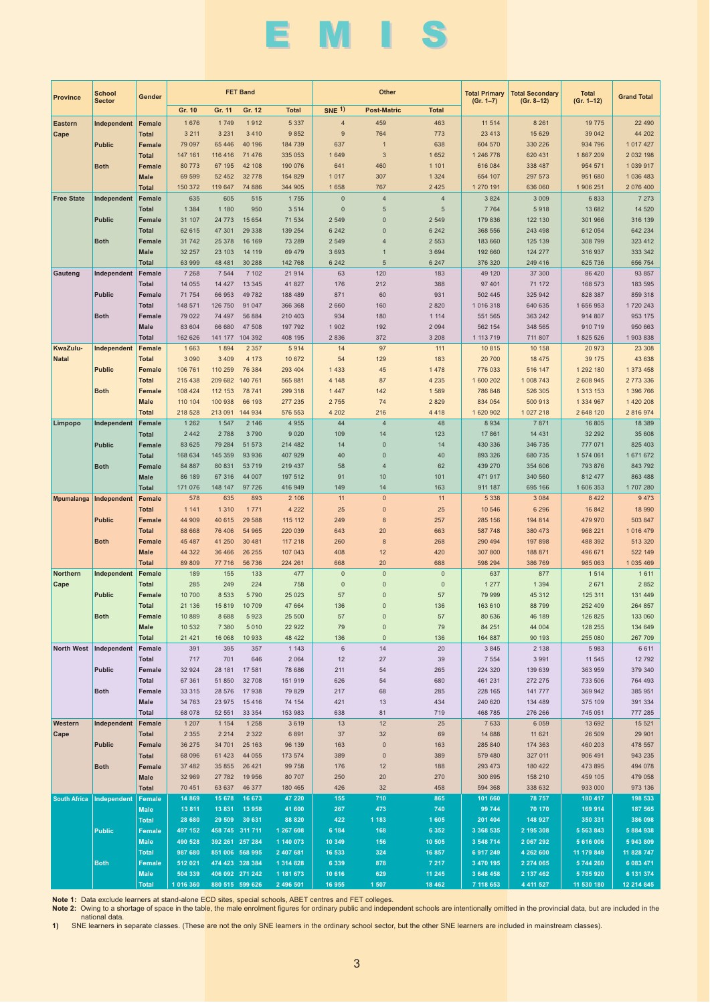# EMIS

| <b>Province</b>     | <b>School</b><br><b>Sector</b> | Gender                        |                      |                                    | <b>FET Band</b>         |                        |                    | Other                        |                    | <b>Total Primary</b>   | <b>Total Secondary</b>   | <b>Total</b>            | <b>Grand Total</b>      |
|---------------------|--------------------------------|-------------------------------|----------------------|------------------------------------|-------------------------|------------------------|--------------------|------------------------------|--------------------|------------------------|--------------------------|-------------------------|-------------------------|
|                     |                                |                               | Gr. 10               | Gr. 11                             | Gr. 12                  | <b>Total</b>           | <b>SNE 1)</b>      | <b>Post-Matric</b>           | <b>Total</b>       | $(Gr. 1-7)$            | $(Gr. 8-12)$             | $(Gr. 1-12)$            |                         |
| <b>Eastern</b>      | Independent                    | Female                        | 1 676                | 1749                               | 1912                    | 5 3 3 7                | $\overline{4}$     | 459                          | 463                | 11 514                 | 8 2 6 1                  | 19 775                  | 22 490                  |
| Cape                |                                | <b>Total</b>                  | 3 2 1 1              | 3 2 3 1                            | 3 4 1 0                 | 9852                   | 9                  | 764                          | 773                | 23 4 13                | 15 629                   | 39 042                  | 44 202                  |
|                     | <b>Public</b>                  | <b>Female</b>                 | 79 097               | 65 4 46                            | 40 196<br>71 476        | 184 739                | 637                | $\overline{1}$<br>$\sqrt{3}$ | 638                | 604 570                | 330 226                  | 934 796                 | 1 017 427<br>2 032 198  |
|                     | <b>Both</b>                    | <b>Total</b><br><b>Female</b> | 147 161<br>80 773    | 116 416<br>67 195                  | 42 108                  | 335 053<br>190 076     | 1 6 4 9<br>641     | 460                          | 1 6 5 2<br>1 1 0 1 | 1 246 778<br>616 084   | 620 431<br>338 487       | 1867209<br>954 571      | 1 039 917               |
|                     |                                | <b>Male</b>                   | 69 599               | 52 452                             | 32 778                  | 154 829                | 1 0 1 7            | 307                          | 1 3 2 4            | 654 107                | 297 573                  | 951 680                 | 1 036 483               |
|                     |                                | <b>Total</b>                  | 150 372              | 119 647                            | 74 886                  | 344 905                | 1 6 5 8            | 767                          | 2 4 2 5            | 1 270 191              | 636 060                  | 1 906 251               | 2 076 400               |
| <b>Free State</b>   | Independent                    | Female                        | 635                  | 605                                | 515                     | 1755                   | $\overline{0}$     | $\overline{4}$               | $\overline{4}$     | 3 8 2 4                | 3 0 0 9                  | 6 8 3 3                 | 7 2 7 3                 |
|                     |                                | <b>Total</b>                  | 1 3 8 4              | 1 1 8 0                            | 950                     | 3 5 1 4                | $\pmb{0}$          | $\sqrt{5}$                   | 5                  | 7 7 64                 | 5918                     | 13 682                  | 14 5 20                 |
|                     | <b>Public</b>                  | Female<br><b>Total</b>        | 31 107<br>62 615     | 24 7 7 3<br>47 301                 | 15 654<br>29 338        | 71 534<br>139 254      | 2 5 4 9<br>6 2 4 2 | $\pmb{0}$<br>$\pmb{0}$       | 2 5 4 9<br>6 2 4 2 | 179 836<br>368 556     | 122 130<br>243 498       | 301 966<br>612 054      | 316 139<br>642 234      |
|                     | <b>Both</b>                    | <b>Female</b>                 | 31 742               | 25 378                             | 16 16 9                 | 73 289                 | 2 5 4 9            | $\overline{4}$               | 2 5 5 3            | 183 660                | 125 139                  | 308 799                 | 323 412                 |
|                     |                                | <b>Male</b>                   | 32 257               | 23 103                             | 14 119                  | 69 479                 | 3 6 9 3            | $\mathbf{1}$                 | 3 6 9 4            | 192 660                | 124 277                  | 316 937                 | 333 342                 |
|                     |                                | <b>Total</b>                  | 63 999               | 48 4 8 1                           | 30 288                  | 142 768                | 6 2 4 2            | $\sqrt{5}$                   | 6 2 4 7            | 376 320                | 249 416                  | 625 736                 | 656 754                 |
| Gauteng             | Independent                    | Female                        | 7 2 6 8              | 7 5 4 4                            | 7 102                   | 21 914                 | 63                 | 120                          | 183                | 49 120                 | 37 300                   | 86 4 20                 | 93 857                  |
|                     | <b>Public</b>                  | <b>Total</b><br>Female        | 14 055<br>71 754     | 14 4 27<br>66 953                  | 13 3 45<br>49 782       | 41 827<br>188 489      | 176<br>871         | 212<br>60                    | 388<br>931         | 97 401<br>502 445      | 71 172<br>325 942        | 168 573<br>828 387      | 183 595<br>859 318      |
|                     |                                | <b>Total</b>                  | 148 571              | 126 750                            | 91 047                  | 366 368                | 2 6 6 0            | 160                          | 2 8 2 0            | 1 016 318              | 640 635                  | 1 656 953               | 1720 243                |
|                     | <b>Both</b>                    | Female                        | 79 0 22              | 74 497                             | 56 884                  | 210 403                | 934                | 180                          | 1 1 1 4            | 551 565                | 363 242                  | 914 807                 | 953 175                 |
|                     |                                | <b>Male</b>                   | 83 604               | 66 680                             | 47 508                  | 197 792                | 1 9 0 2            | 192                          | 2 0 9 4            | 562 154                | 348 565                  | 910 719                 | 950 663                 |
|                     |                                | <b>Total</b>                  | 162 626              | 141 177                            | 104 392                 | 408 195                | 2 8 3 6            | 372                          | 3 2 0 8            | 1 113 719              | 711 807                  | 1 825 526               | 1903838                 |
| KwaZulu-            | Independent                    | Female                        | 1 6 6 3<br>3 0 9 0   | 1894<br>3 4 0 9                    | 2 3 5 7                 | 5914                   | 14<br>54           | 97<br>129                    | 111                | 10 815                 | 10 158                   | 20 973                  | 23 308<br>43 638        |
| <b>Natal</b>        | <b>Public</b>                  | <b>Total</b><br>Female        | 106 761              | 110 259                            | 4 1 7 3<br>76 384       | 10 672<br>293 404      | 1 4 3 3            | 45                           | 183<br>1 4 7 8     | 20 700<br>776 033      | 18 475<br>516 147        | 39 175<br>1 292 180     | 1 373 458               |
|                     |                                | <b>Total</b>                  | 215 438              | 209 682                            | 140 761                 | 565 881                | 4 1 4 8            | 87                           | 4 2 3 5            | 1 600 202              | 1 008 743                | 2 608 945               | 2 773 336               |
|                     | <b>Both</b>                    | <b>Female</b>                 | 108 424              | 112 153                            | 78 741                  | 299 318                | 1 4 4 7            | 142                          | 1589               | 786 848                | 526 305                  | 1 313 153               | 1 396 766               |
|                     |                                | <b>Male</b>                   | 110 104              | 100 938                            | 66 193                  | 277 235                | 2 7 5 5            | 74                           | 2 8 2 9            | 834 054                | 500 913                  | 1 334 967               | 1 420 208               |
|                     |                                | <b>Total</b>                  | 218 528              | 213 091                            | 144 934                 | 576 553                | 4 2 0 2            | 216                          | 4 4 1 8            | 1 620 902              | 1 027 218                | 2 648 120               | 2 816 974               |
| Limpopo             | Independent                    | Female<br><b>Total</b>        | 1 2 6 2<br>2 4 4 2   | 1 5 4 7<br>2 7 8 8                 | 2 1 4 6<br>3790         | 4 9 5 5<br>9 0 2 0     | 44<br>109          | $\overline{4}$<br>14         | 48<br>123          | 8 9 3 4<br>17 861      | 7871<br>14 4 31          | 16 805<br>32 29 2       | 18 3 8 9<br>35 608      |
|                     | <b>Public</b>                  | Female                        | 83 625               | 79 284                             | 51 573                  | 214 482                | 14                 | $\pmb{0}$                    | 14                 | 430 336                | 346 735                  | 777 071                 | 825 403                 |
|                     |                                | <b>Total</b>                  | 168 634              | 145 359                            | 93 936                  | 407 929                | 40                 | $\pmb{0}$                    | 40                 | 893 326                | 680 735                  | 1 574 061               | 1 671 672               |
|                     | <b>Both</b>                    | Female                        | 84 887               | 80 831                             | 53 719                  | 219 437                | 58                 | $\overline{4}$               | 62                 | 439 270                | 354 606                  | 793 876                 | 843 792                 |
|                     |                                | <b>Male</b>                   | 86 189               | 67 316                             | 44 007                  | 197 512                | 91                 | 10                           | 101                | 471 917                | 340 560                  | 812 477                 | 863 488                 |
| <b>Mpumalanga</b>   | Independent                    | <b>Total</b><br><b>Female</b> | 171 076<br>578       | 148 147<br>635                     | 97 726<br>893           | 416 949<br>2 10 6      | 149<br>11          | 14<br>$\pmb{0}$              | 163<br>11          | 911 187<br>5 3 3 8     | 695 166<br>3 0 8 4       | 1 606 353<br>8 4 2 2    | 1707280<br>9 4 7 3      |
|                     |                                | <b>Total</b>                  | 1 1 4 1              | 1 3 1 0                            | 1 7 7 1                 | 4 2 2 2                | 25                 | $\pmb{0}$                    | 25                 | 10 546                 | 6 2 9 6                  | 16 842                  | 18 990                  |
|                     | <b>Public</b>                  | <b>Female</b>                 | 44 909               | 40 615                             | 29 588                  | 115 112                | 249                | $\bf 8$                      | 257                | 285 156                | 194 814                  | 479 970                 | 503 847                 |
|                     |                                | <b>Total</b>                  | 88 668               | 76 40 6                            | 54 965                  | 220 039                | 643                | 20                           | 663                | 587 748                | 380 473                  | 968 221                 | 1 016 479               |
|                     | <b>Both</b>                    | <b>Female</b>                 | 45 487               | 41 250                             | 30 481                  | 117 218                | 260                | $\bf 8$                      | 268                | 290 494                | 197 898                  | 488 392                 | 513 320                 |
|                     |                                | <b>Male</b><br><b>Total</b>   | 44 322<br>89 809     | 36 4 66<br>77 716                  | 26 25 5<br>56 736       | 107 043<br>224 261     | 408<br>668         | 12<br>20                     | 420<br>688         | 307 800<br>598 294     | 188 871<br>386 769       | 496 671<br>985 063      | 522 149<br>1 035 469    |
| Northern            | Independent                    | Female                        | 189                  | 155                                | 133                     | 477                    | $\overline{0}$     | $\pmb{0}$                    | $\pmb{0}$          | 637                    | 877                      | 1 5 1 4                 | 1 6 1 1                 |
| Cape                |                                | <b>Total</b>                  | 285                  | 249                                | 224                     | 758                    | $\overline{0}$     | $\pmb{0}$                    | $\overline{0}$     | 1 2 7 7                | 1 3 9 4                  | 2671                    | 2 8 5 2                 |
|                     | <b>Public</b>                  | <b>Female</b>                 | 10 700               | 8 5 3 3                            | 5 7 9 0                 | 25 0 23                | 57                 | $\pmb{0}$                    | 57                 | 79 999                 | 45 312                   | 125 311                 | 131 449                 |
|                     |                                | <b>Total</b>                  | 21 136               | 15819                              | 10 709                  | 47 664                 | 136                | $\pmb{0}$                    | 136                | 163 610                | 88 799                   | 252 409                 | 264 857                 |
|                     | Both                           | Female<br>Male                | 10 889<br>10 532     | 8 6 8 8<br>7 3 8 0                 | 5923<br>5 0 1 0         | 25 500<br>22 922       | 57<br>79           | $\pmb{0}$<br>0               | 57<br>79           | 80 636<br>84 251       | 46 189<br>44 004         | 126 825<br>128 255      | 133 060<br>134 649      |
|                     |                                | <b>Total</b>                  | 21 4 21              | 16 068                             | 10 933                  | 48 422                 | 136                | $\pmb{0}$                    | 136                | 164 887                | 90 193                   | 255 080                 | 267 709                 |
| <b>North West</b>   | Independent                    | Female                        | 391                  | 395                                | 357                     | 1 1 4 3                | 6                  | 14                           | 20                 | 3 8 4 5                | 2 1 3 8                  | 5983                    | 6 6 1 1                 |
|                     |                                | Total                         | 717                  | 701                                | 646                     | 2 0 6 4                | 12                 | 27                           | 39                 | 7 5 5 4                | 3 9 9 1                  | 11 545                  | 12792                   |
|                     | Public                         | Female                        | 32 924               | 28 181                             | 17 581                  | 78 686                 | 211                | 54                           | 265                | 224 320                | 139 639                  | 363 959                 | 379 340                 |
|                     | <b>Both</b>                    | Total<br>Female               | 67 361<br>33 315     | 51 850<br>28 576                   | 32 708<br>17 938        | 151 919<br>79 829      | 626<br>217         | 54<br>68                     | 680<br>285         | 461 231<br>228 165     | 272 275<br>141 777       | 733 506<br>369 942      | 764 493<br>385 951      |
|                     |                                | <b>Male</b>                   | 34 763               | 23 975                             | 15 4 16                 | 74 154                 | 421                | 13                           | 434                | 240 620                | 134 489                  | 375 109                 | 391 334                 |
|                     |                                | <b>Total</b>                  | 68 078               | 52 551                             | 33 354                  | 153 983                | 638                | 81                           | 719                | 468 785                | 276 266                  | 745 051                 | 777 285                 |
| Western             | Independent                    | Female                        | 1 2 0 7              | 1 1 5 4                            | 1 2 5 8                 | 3619                   | 13                 | 12                           | 25                 | 7 6 3 3                | 6 0 5 9                  | 13 692                  | 15 5 21                 |
| Cape                |                                | <b>Total</b>                  | 2 3 5 5              | 2 2 1 4                            | 2 3 2 2                 | 6891                   | 37                 | 32                           | 69                 | 14 8 88                | 11 621                   | 26 509                  | 29 901                  |
|                     | <b>Public</b>                  | Female<br><b>Total</b>        | 36 275<br>68 096     | 34 701<br>61 4 23                  | 25 163<br>44 055        | 96 139<br>173 574      | 163<br>389         | $\pmb{0}$<br>$\pmb{0}$       | 163<br>389         | 285 840<br>579 480     | 174 363<br>327 011       | 460 203<br>906 491      | 478 557<br>943 235      |
|                     | <b>Both</b>                    | Female                        | 37 482               | 35 855                             | 26 4 21                 | 99 758                 | 176                | 12                           | 188                | 293 473                | 180 422                  | 473 895                 | 494 078                 |
|                     |                                | Male                          | 32 969               | 27 782                             | 19 956                  | 80 70 7                | 250                | 20                           | 270                | 300 895                | 158 210                  | 459 105                 | 479 058                 |
|                     |                                | <b>Total</b>                  | 70 451               | 63 637                             | 46 377                  | 180 465                | 426                | 32                           | 458                | 594 368                | 338 632                  | 933 000                 | 973 136                 |
| <b>South Africa</b> | Independent                    | Female                        | 14 869               | 15 678                             | 16 673                  | 47 220                 | 155                | 710                          | 865                | 101 660                | 78 757                   | 180 417                 | 198 533                 |
|                     |                                | <b>Male</b><br><b>Total</b>   | 13 811<br>28 680     | 13831                              | 13 958<br>29 509 30 631 | 41 600<br>88 820       | 267<br>422         | 473<br>1 183                 | 740<br>1 605       | 99 744<br>201 404      | 70 170<br>148 927        | 169 914<br>350 331      | 187 565<br>386 098      |
|                     | <b>Public</b>                  | Female                        | 497 152              | 458 745 311 711                    |                         | 1 267 608              | 6 184              | 168                          | 6 3 5 2            | 3 368 535              | 2 195 308                | 5 5 6 3 8 4 3           | 5 884 938               |
|                     |                                | <b>Male</b>                   | 490 528              | 392 261 257 284                    |                         | 1 140 073              | 10 349             | 156                          | 10 505             | 3 548 714              | 2 067 292                | 5 616 006               | 5 943 809               |
|                     |                                | <b>Total</b>                  | 987 680              | 851 006 568 995                    |                         | 2 407 681              | 16 533             | 324                          | 16 857             | 6 917 249              | 4 262 600                | 11 179 849              | 11 828 747              |
|                     | <b>Both</b>                    | Female                        | 512 021              | 474 423 328 384                    |                         | 1 314 828              | 6 3 3 9            | 878                          | 7 217              | 3 470 195              | 2 274 065                | 5 744 260               | 6 083 471               |
|                     |                                | <b>Male</b><br><b>Total</b>   | 504 339<br>1 016 360 | 406 092 271 242<br>880 515 599 626 |                         | 1 181 673<br>2 496 501 | 10 616<br>16 955   | 629<br>1 507                 | 11 245<br>18 4 62  | 3 648 458<br>7 118 653 | 2 137 462<br>4 4 1 5 2 7 | 5 785 920<br>11 530 180 | 6 131 374<br>12 214 845 |
|                     |                                |                               |                      |                                    |                         |                        |                    |                              |                    |                        |                          |                         |                         |

Note 1: Data exclude learners at stand-alone ECD sites, special schools, ABET centres and FET colleges.<br>Note 2: Owing to a shortage of space in the table, the male enrolment figures for ordinary public and independent scho